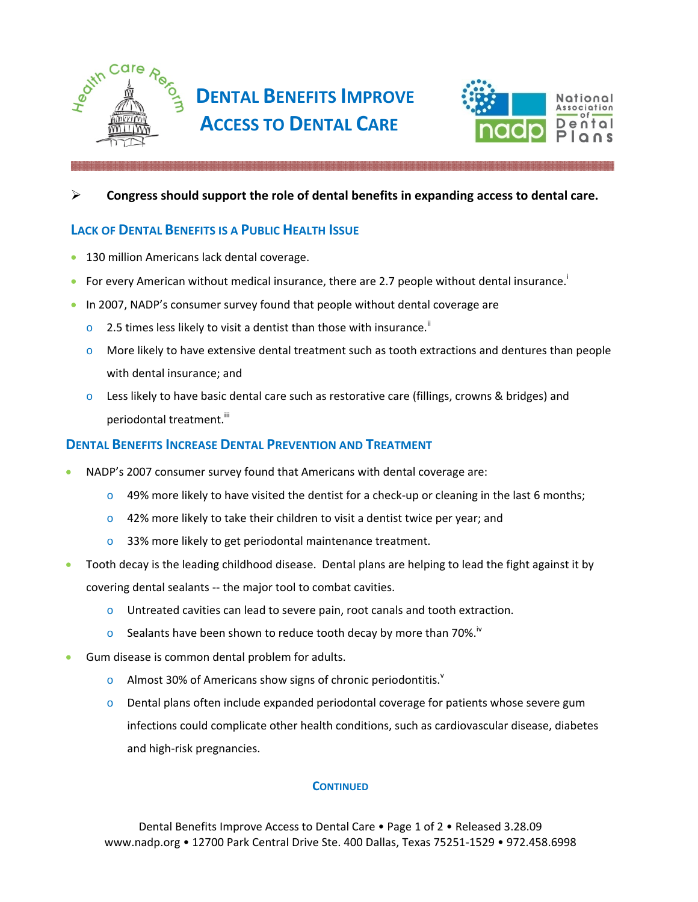



#### ¾ **Congress should support the role of dental benefits in expanding access to dental care.**

## **LACK OF DENTAL BENEFITS IS A PUBLIC HEALTH ISSUE**

- 130 million Americans lack dental coverage.
- For every American without medical insurance, there are 2.7 people without dental insurance.<sup>i</sup>
- In 2007, NADP's consumer survey found that people without dental coverage are
	- $\circ$  2.5 times less likely to visit a dentist than those with insurance.<sup>ii</sup>
	- $\circ$  More likely to have extensive dental treatment such as tooth extractions and dentures than people with dental insurance; and
	- $\circ$  Less likely to have basic dental care such as restorative care (fillings, crowns & bridges) and periodontal treatment.<sup>iii</sup>

### **DENTAL BENEFITS INCREASE DENTAL PREVENTION AND TREATMENT**

- NADP's 2007 consumer survey found that Americans with dental coverage are:
	- $\circ$  49% more likely to have visited the dentist for a check-up or cleaning in the last 6 months;
	- $\circ$  42% more likely to take their children to visit a dentist twice per year; and
	- o 33% more likely to get periodontal maintenance treatment.
- Tooth decay is the leading childhood disease. Dental plans are helping to lead the fight against it by covering dental sealants ‐‐ the major tool to combat cavities.
	- $\circ$  Untreated cavities can lead to severe pain, root canals and tooth extraction.
	- $\circ$  Sealants have been shown to reduce tooth decay by more than 70%.<sup>iv</sup>
- Gum disease is common dental problem for adults.
	- o Almost 30% of Americans show signs of chronic periodontitis. $v$
	- $\circ$  Dental plans often include expanded periodontal coverage for patients whose severe gum infections could complicate other health conditions, such as cardiovascular disease, diabetes and high‐risk pregnancies.

#### **CONTINUED**

Dental Benefits Improve Access to Dental Care • Page 1 of 2 • Released 3.28.09 www.nadp.org • 12700 Park Central Drive Ste. 400 Dallas, Texas 75251‐1529 • 972.458.6998